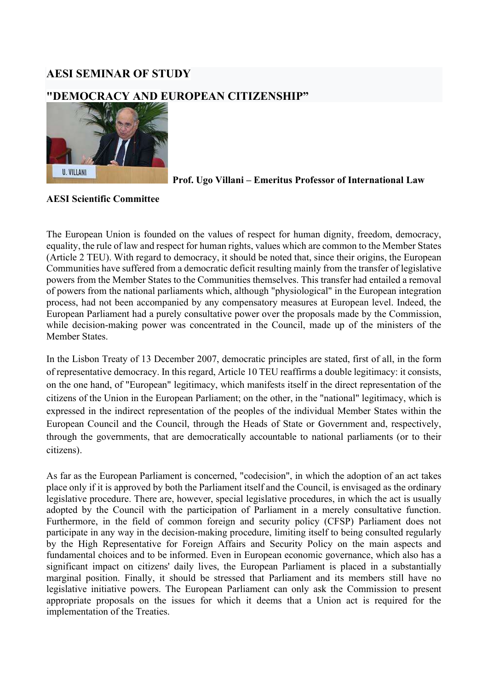## AESI SEMINAR OF STUDY

## "DEMOCRACY AND EUROPEAN CITIZENSHIP"



Prof. Ugo Villani – Emeritus Professor of International Law

## AESI Scientific Committee

The European Union is founded on the values of respect for human dignity, freedom, democracy, equality, the rule of law and respect for human rights, values which are common to the Member States (Article 2 TEU). With regard to democracy, it should be noted that, since their origins, the European Communities have suffered from a democratic deficit resulting mainly from the transfer of legislative powers from the Member States to the Communities themselves. This transfer had entailed a removal of powers from the national parliaments which, although "physiological" in the European integration process, had not been accompanied by any compensatory measures at European level. Indeed, the European Parliament had a purely consultative power over the proposals made by the Commission, while decision-making power was concentrated in the Council, made up of the ministers of the Member States.

In the Lisbon Treaty of 13 December 2007, democratic principles are stated, first of all, in the form of representative democracy. In this regard, Article 10 TEU reaffirms a double legitimacy: it consists, on the one hand, of "European" legitimacy, which manifests itself in the direct representation of the citizens of the Union in the European Parliament; on the other, in the "national" legitimacy, which is expressed in the indirect representation of the peoples of the individual Member States within the European Council and the Council, through the Heads of State or Government and, respectively, through the governments, that are democratically accountable to national parliaments (or to their citizens).

As far as the European Parliament is concerned, "codecision", in which the adoption of an act takes place only if it is approved by both the Parliament itself and the Council, is envisaged as the ordinary legislative procedure. There are, however, special legislative procedures, in which the act is usually adopted by the Council with the participation of Parliament in a merely consultative function. Furthermore, in the field of common foreign and security policy (CFSP) Parliament does not participate in any way in the decision-making procedure, limiting itself to being consulted regularly by the High Representative for Foreign Affairs and Security Policy on the main aspects and fundamental choices and to be informed. Even in European economic governance, which also has a significant impact on citizens' daily lives, the European Parliament is placed in a substantially marginal position. Finally, it should be stressed that Parliament and its members still have no legislative initiative powers. The European Parliament can only ask the Commission to present appropriate proposals on the issues for which it deems that a Union act is required for the implementation of the Treaties.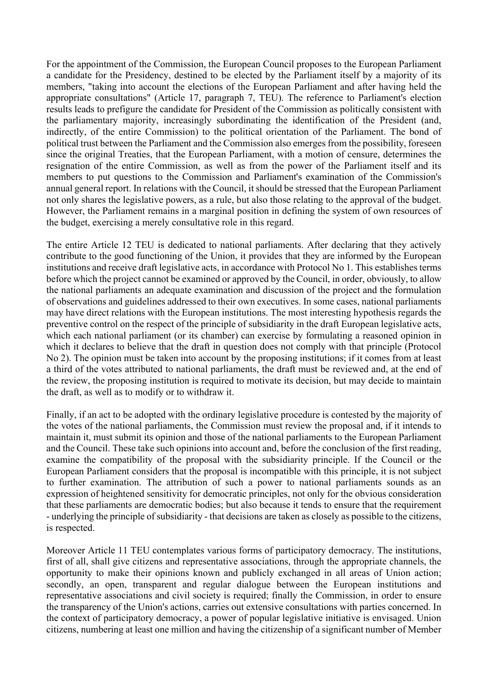For the appointment of the Commission, the European Council proposes to the European Parliament a candidate for the Presidency, destined to be elected by the Parliament itself by a majority of its members, "taking into account the elections of the European Parliament and after having held the appropriate consultations" (Article 17, paragraph 7, TEU). The reference to Parliament's election results leads to prefigure the candidate for President of the Commission as politically consistent with the parliamentary majority, increasingly subordinating the identification of the President (and, indirectly, of the entire Commission) to the political orientation of the Parliament. The bond of political trust between the Parliament and the Commission also emerges from the possibility, foreseen since the original Treaties, that the European Parliament, with a motion of censure, determines the resignation of the entire Commission, as well as from the power of the Parliament itself and its members to put questions to the Commission and Parliament's examination of the Commission's annual general report. In relations with the Council, it should be stressed that the European Parliament not only shares the legislative powers, as a rule, but also those relating to the approval of the budget. However, the Parliament remains in a marginal position in defining the system of own resources of the budget, exercising a merely consultative role in this regard.

The entire Article 12 TEU is dedicated to national parliaments. After declaring that they actively contribute to the good functioning of the Union, it provides that they are informed by the European institutions and receive draft legislative acts, in accordance with Protocol No 1. This establishes terms before which the project cannot be examined or approved by the Council, in order, obviously, to allow the national parliaments an adequate examination and discussion of the project and the formulation of observations and guidelines addressed to their own executives. In some cases, national parliaments may have direct relations with the European institutions. The most interesting hypothesis regards the preventive control on the respect of the principle of subsidiarity in the draft European legislative acts, which each national parliament (or its chamber) can exercise by formulating a reasoned opinion in which it declares to believe that the draft in question does not comply with that principle (Protocol No 2). The opinion must be taken into account by the proposing institutions; if it comes from at least a third of the votes attributed to national parliaments, the draft must be reviewed and, at the end of the review, the proposing institution is required to motivate its decision, but may decide to maintain the draft, as well as to modify or to withdraw it.

Finally, if an act to be adopted with the ordinary legislative procedure is contested by the majority of the votes of the national parliaments, the Commission must review the proposal and, if it intends to maintain it, must submit its opinion and those of the national parliaments to the European Parliament and the Council. These take such opinions into account and, before the conclusion of the first reading, examine the compatibility of the proposal with the subsidiarity principle. If the Council or the European Parliament considers that the proposal is incompatible with this principle, it is not subject to further examination. The attribution of such a power to national parliaments sounds as an expression of heightened sensitivity for democratic principles, not only for the obvious consideration that these parliaments are democratic bodies; but also because it tends to ensure that the requirement - underlying the principle of subsidiarity - that decisions are taken as closely as possible to the citizens, is respected.

Moreover Article 11 TEU contemplates various forms of participatory democracy. The institutions, first of all, shall give citizens and representative associations, through the appropriate channels, the opportunity to make their opinions known and publicly exchanged in all areas of Union action; secondly, an open, transparent and regular dialogue between the European institutions and representative associations and civil society is required; finally the Commission, in order to ensure the transparency of the Union's actions, carries out extensive consultations with parties concerned. In the context of participatory democracy, a power of popular legislative initiative is envisaged. Union citizens, numbering at least one million and having the citizenship of a significant number of Member